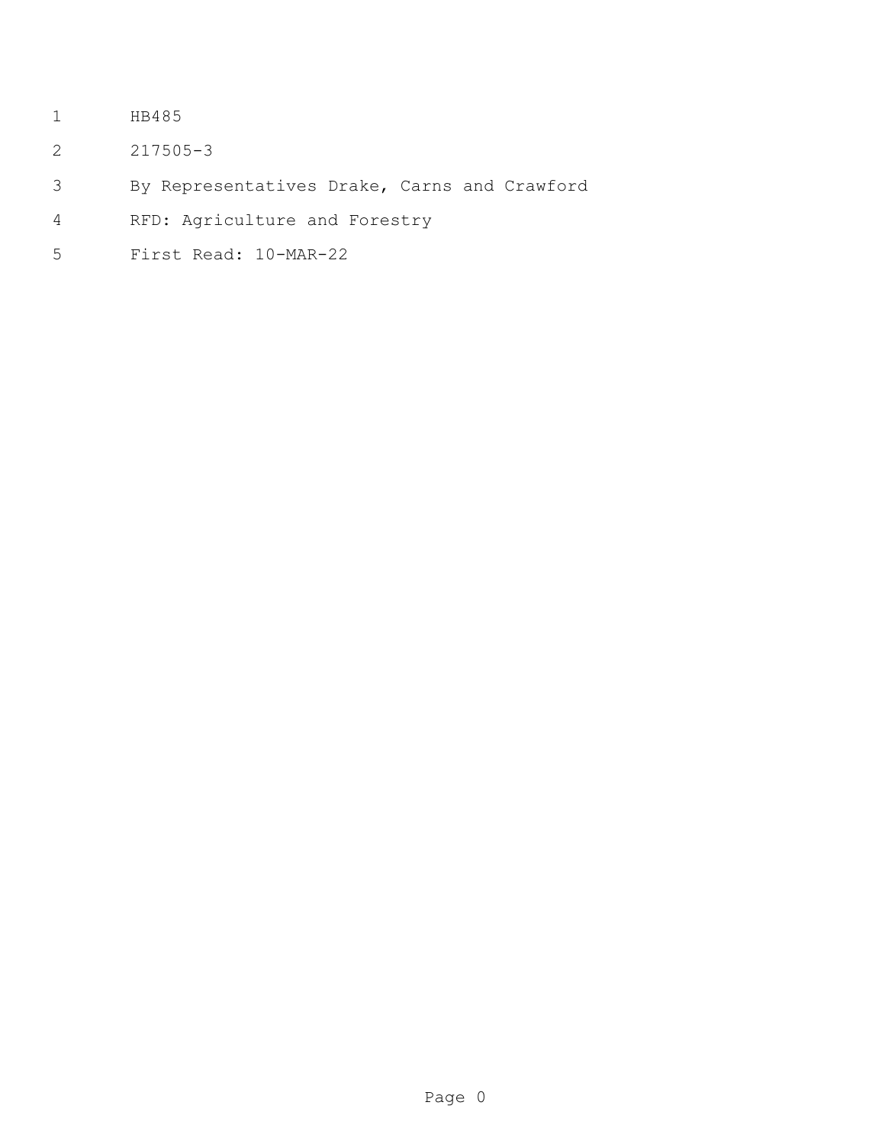- HB485
- 217505-3
- By Representatives Drake, Carns and Crawford
- RFD: Agriculture and Forestry
- First Read: 10-MAR-22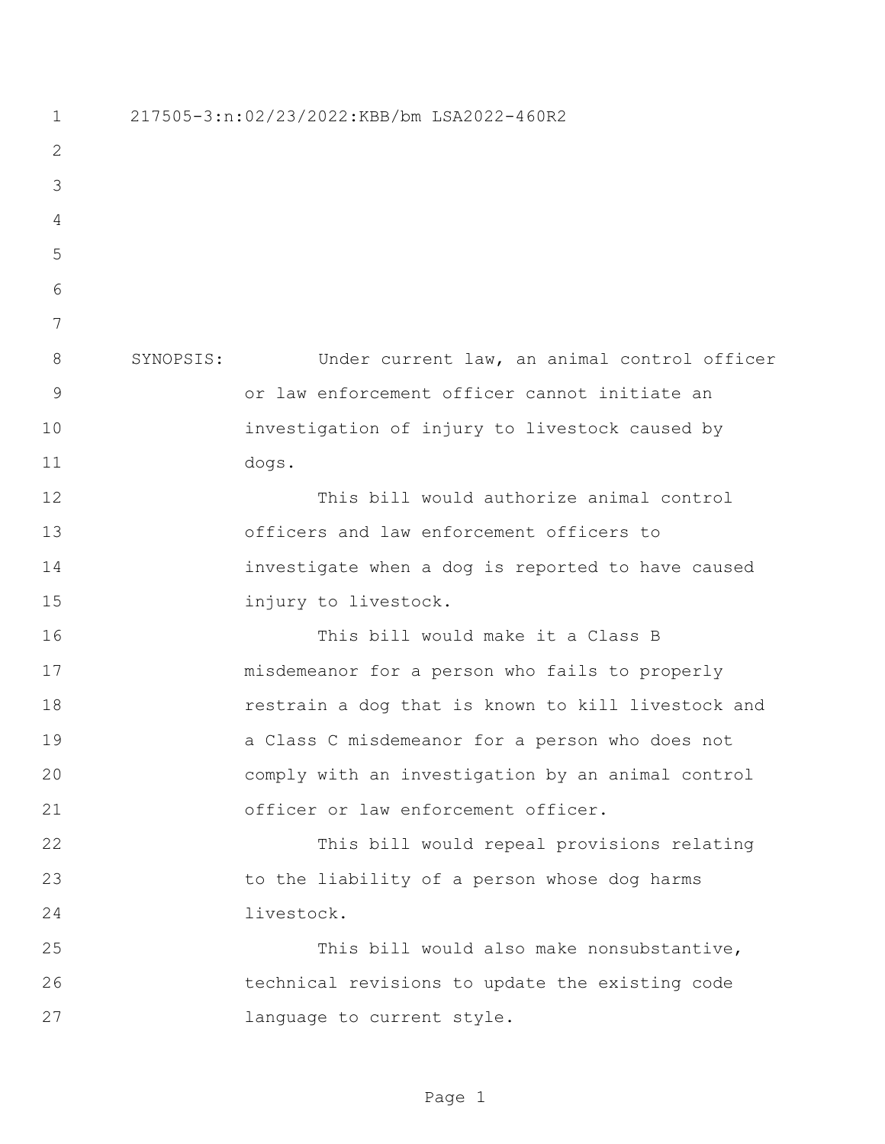217505-3:n:02/23/2022:KBB/bm LSA2022-460R2 SYNOPSIS: Under current law, an animal control officer or law enforcement officer cannot initiate an investigation of injury to livestock caused by dogs. This bill would authorize animal control officers and law enforcement officers to investigate when a dog is reported to have caused injury to livestock. This bill would make it a Class B misdemeanor for a person who fails to properly restrain a dog that is known to kill livestock and a Class C misdemeanor for a person who does not comply with an investigation by an animal control officer or law enforcement officer. This bill would repeal provisions relating to the liability of a person whose dog harms livestock. This bill would also make nonsubstantive, technical revisions to update the existing code language to current style.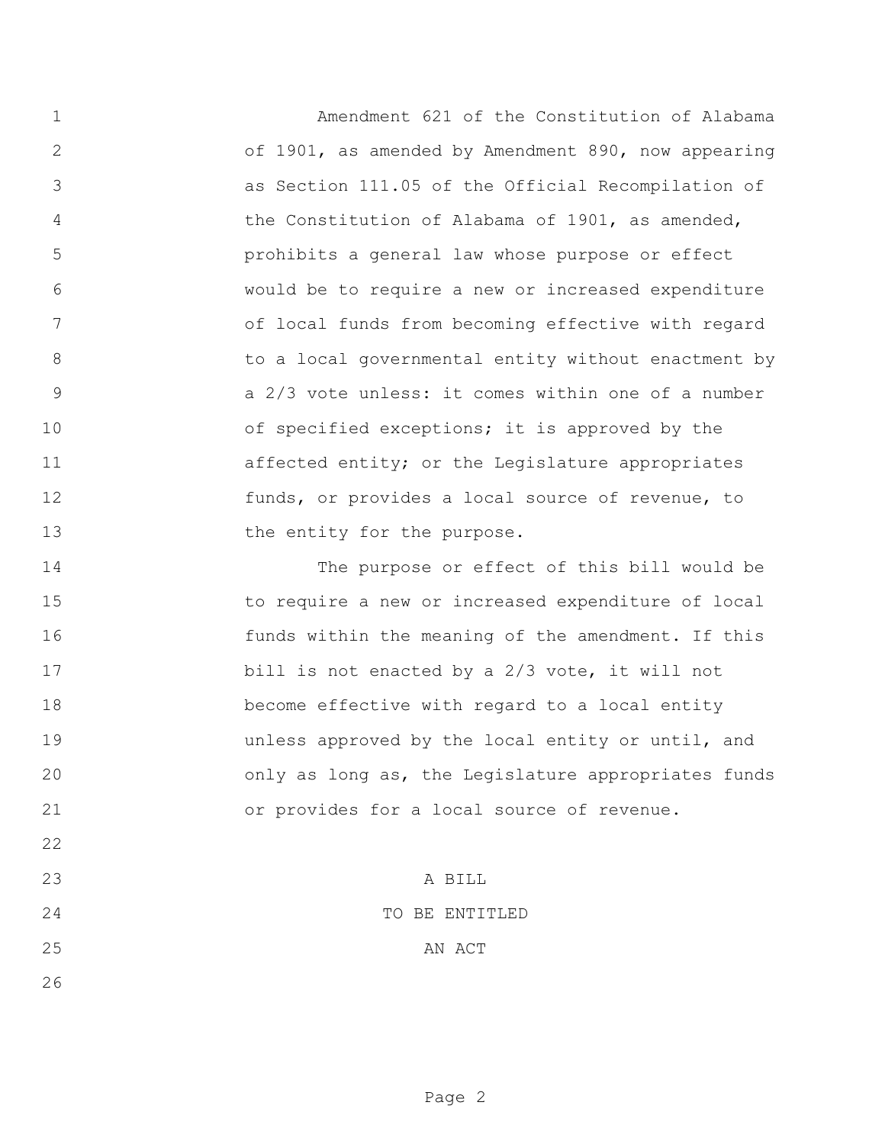Amendment 621 of the Constitution of Alabama of 1901, as amended by Amendment 890, now appearing as Section 111.05 of the Official Recompilation of the Constitution of Alabama of 1901, as amended, prohibits a general law whose purpose or effect would be to require a new or increased expenditure of local funds from becoming effective with regard to a local governmental entity without enactment by a 2/3 vote unless: it comes within one of a number 10 of specified exceptions; it is approved by the 11 affected entity; or the Legislature appropriates funds, or provides a local source of revenue, to 13 the entity for the purpose.

 The purpose or effect of this bill would be to require a new or increased expenditure of local funds within the meaning of the amendment. If this 17 bill is not enacted by a 2/3 vote, it will not become effective with regard to a local entity unless approved by the local entity or until, and only as long as, the Legislature appropriates funds or provides for a local source of revenue.

 A BILL TO BE ENTITLED

## 25 AN ACT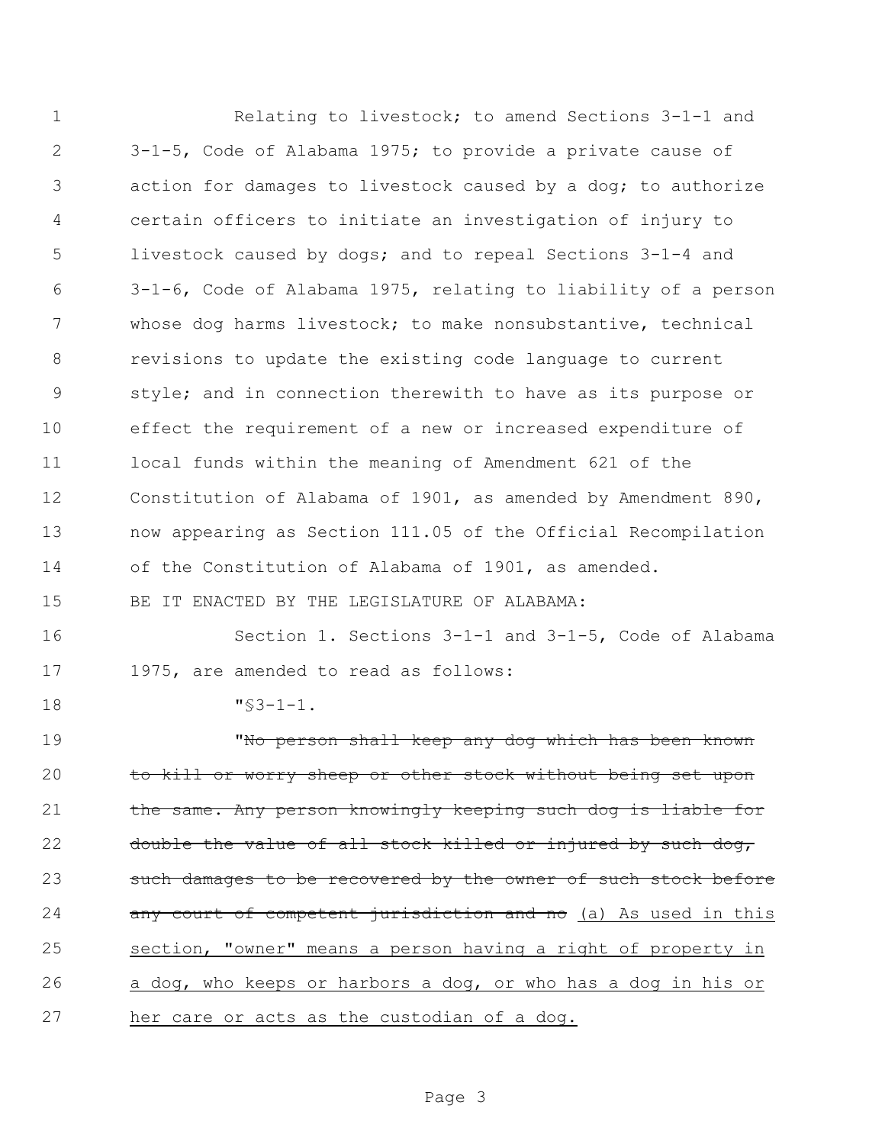Relating to livestock; to amend Sections 3-1-1 and 3-1-5, Code of Alabama 1975; to provide a private cause of action for damages to livestock caused by a dog; to authorize certain officers to initiate an investigation of injury to livestock caused by dogs; and to repeal Sections 3-1-4 and 3-1-6, Code of Alabama 1975, relating to liability of a person whose dog harms livestock; to make nonsubstantive, technical revisions to update the existing code language to current style; and in connection therewith to have as its purpose or effect the requirement of a new or increased expenditure of local funds within the meaning of Amendment 621 of the Constitution of Alabama of 1901, as amended by Amendment 890, now appearing as Section 111.05 of the Official Recompilation of the Constitution of Alabama of 1901, as amended. BE IT ENACTED BY THE LEGISLATURE OF ALABAMA: Section 1. Sections 3-1-1 and 3-1-5, Code of Alabama 1975, are amended to read as follows: "§3-1-1. "No person shall keep any dog which has been known 20 to kill or worry sheep or other stock without being set upon 21 the same. Any person knowingly keeping such dog is liable for 22 double the value of all stock killed or injured by such dog, 23 such damages to be recovered by the owner of such stock before 24 any court of competent jurisdiction and no (a) As used in this section, "owner" means a person having a right of property in a dog, who keeps or harbors a dog, or who has a dog in his or her care or acts as the custodian of a dog.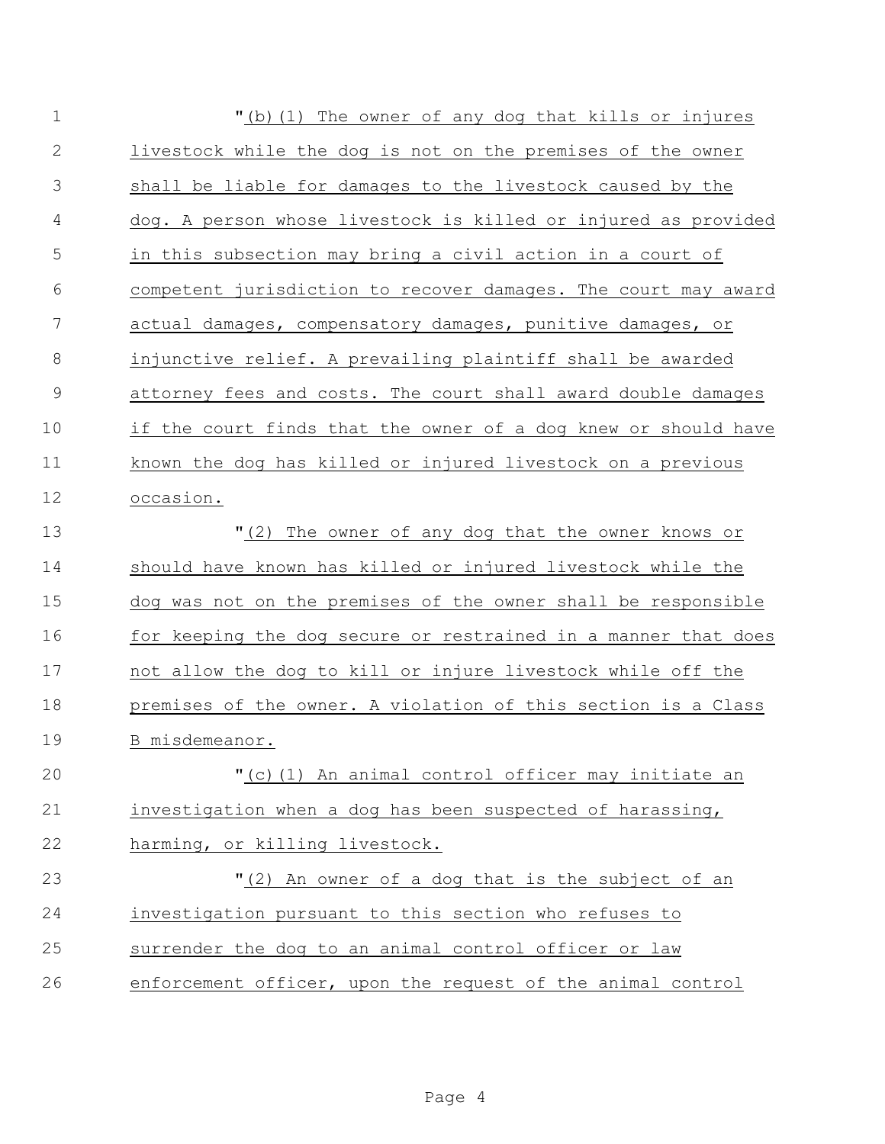| $\mathbf 1$   | "(b) (1) The owner of any dog that kills or injures            |
|---------------|----------------------------------------------------------------|
| $\mathbf{2}$  | livestock while the dog is not on the premises of the owner    |
| 3             | shall be liable for damages to the livestock caused by the     |
| 4             | dog. A person whose livestock is killed or injured as provided |
| 5             | in this subsection may bring a civil action in a court of      |
| 6             | competent jurisdiction to recover damages. The court may award |
| 7             | actual damages, compensatory damages, punitive damages, or     |
| 8             | injunctive relief. A prevailing plaintiff shall be awarded     |
| $\mathcal{G}$ | attorney fees and costs. The court shall award double damages  |
| 10            | if the court finds that the owner of a dog knew or should have |
| 11            | known the dog has killed or injured livestock on a previous    |
| 12            | occasion.                                                      |
| 13            | "(2) The owner of any dog that the owner knows or              |
| 14            | should have known has killed or injured livestock while the    |
| 15            | dog was not on the premises of the owner shall be responsible  |
| 16            | for keeping the dog secure or restrained in a manner that does |
| 17            | not allow the dog to kill or injure livestock while off the    |
| 18            | premises of the owner. A violation of this section is a Class  |
| 19            | B misdemeanor.                                                 |
| 20            | "(c)(1) An animal control officer may initiate an              |
| 21            | investigation when a dog has been suspected of harassing,      |
| 22            | harming, or killing livestock.                                 |
| 23            | "(2) An owner of a dog that is the subject of an               |
| 24            | investigation pursuant to this section who refuses to          |
| 25            | surrender the dog to an animal control officer or law          |
| 26            | enforcement officer, upon the request of the animal control    |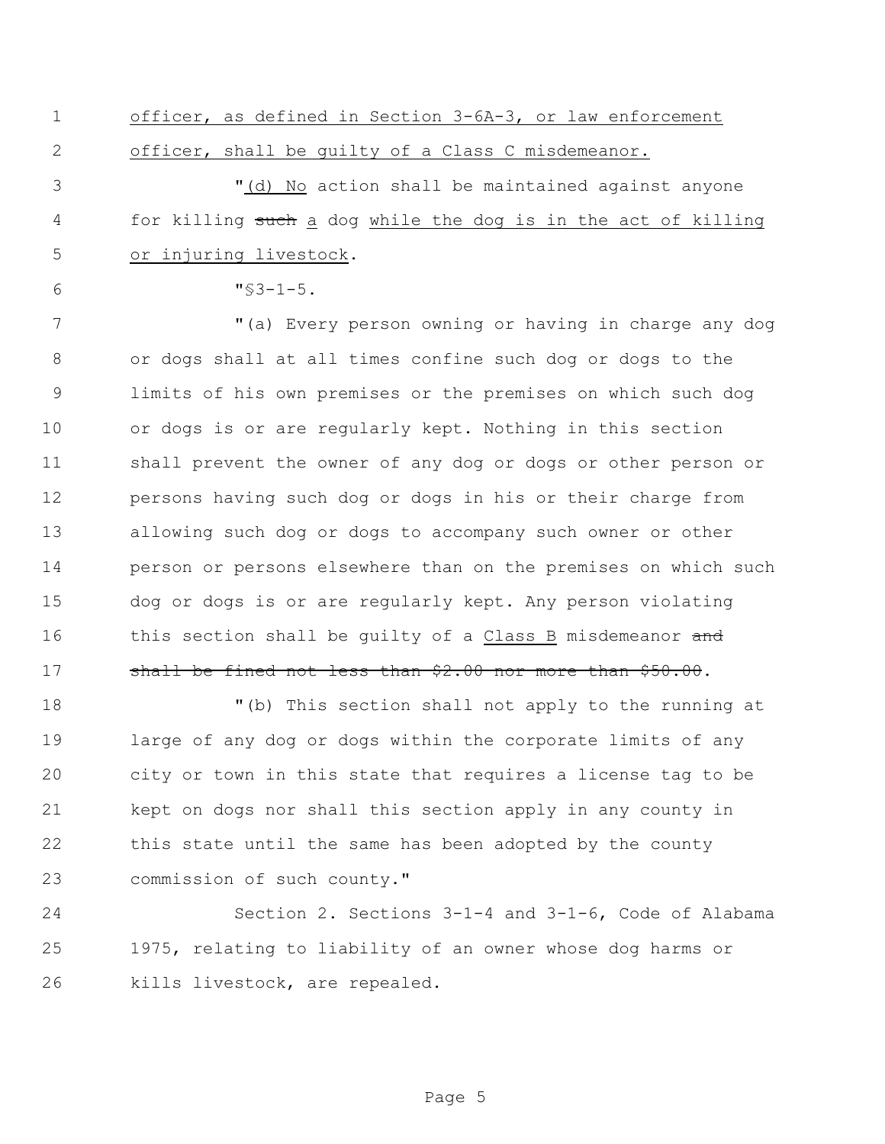officer, as defined in Section 3-6A-3, or law enforcement officer, shall be guilty of a Class C misdemeanor.

 "(d) No action shall be maintained against anyone 4 for killing such a dog while the dog is in the act of killing or injuring livestock.

 $\text{''}\$3-1-5$ .

 "(a) Every person owning or having in charge any dog or dogs shall at all times confine such dog or dogs to the limits of his own premises or the premises on which such dog or dogs is or are regularly kept. Nothing in this section shall prevent the owner of any dog or dogs or other person or persons having such dog or dogs in his or their charge from allowing such dog or dogs to accompany such owner or other person or persons elsewhere than on the premises on which such dog or dogs is or are regularly kept. Any person violating 16 this section shall be quilty of a Class B misdemeanor and 17 shall be fined not less than \$2.00 nor more than \$50.00.

 "(b) This section shall not apply to the running at large of any dog or dogs within the corporate limits of any city or town in this state that requires a license tag to be kept on dogs nor shall this section apply in any county in this state until the same has been adopted by the county 23 commission of such county."

 Section 2. Sections 3-1-4 and 3-1-6, Code of Alabama 1975, relating to liability of an owner whose dog harms or kills livestock, are repealed.